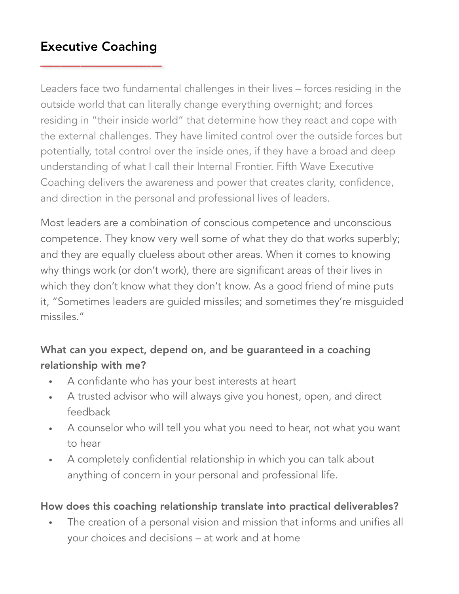# Executive Coaching \_\_\_\_\_\_\_\_\_\_\_\_

Leaders face two fundamental challenges in their lives – forces residing in the outside world that can literally change everything overnight; and forces residing in "their inside world" that determine how they react and cope with the external challenges. They have limited control over the outside forces but potentially, total control over the inside ones, if they have a broad and deep understanding of what I call their Internal Frontier. Fifth Wave Executive Coaching delivers the awareness and power that creates clarity, confidence, and direction in the personal and professional lives of leaders.

Most leaders are a combination of conscious competence and unconscious competence. They know very well some of what they do that works superbly; and they are equally clueless about other areas. When it comes to knowing why things work (or don't work), there are significant areas of their lives in which they don't know what they don't know. As a good friend of mine puts it, "Sometimes leaders are guided missiles; and sometimes they're misguided missiles."

### What can you expect, depend on, and be guaranteed in a coaching relationship with me?

- A confidante who has your best interests at heart
- A trusted advisor who will always give you honest, open, and direct feedback
- A counselor who will tell you what you need to hear, not what you want to hear
- A completely confidential relationship in which you can talk about anything of concern in your personal and professional life.

#### How does this coaching relationship translate into practical deliverables?

• The creation of a personal vision and mission that informs and unifies all your choices and decisions – at work and at home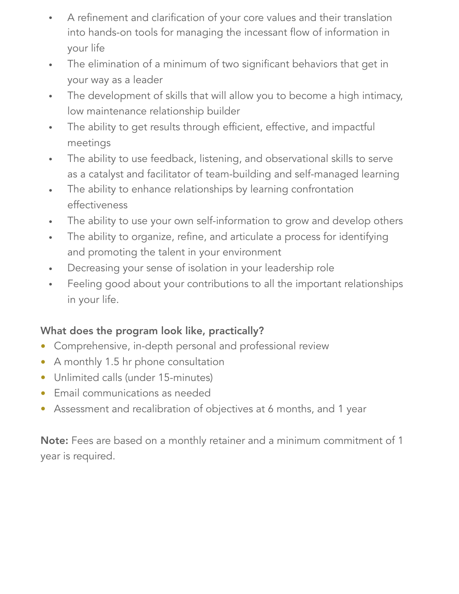- A refinement and clarification of your core values and their translation into hands-on tools for managing the incessant flow of information in your life
- The elimination of a minimum of two significant behaviors that get in your way as a leader
- The development of skills that will allow you to become a high intimacy, low maintenance relationship builder
- The ability to get results through efficient, effective, and impactful meetings
- The ability to use feedback, listening, and observational skills to serve as a catalyst and facilitator of team-building and self-managed learning
- The ability to enhance relationships by learning confrontation effectiveness
- The ability to use your own self-information to grow and develop others
- The ability to organize, refine, and articulate a process for identifying and promoting the talent in your environment
- Decreasing your sense of isolation in your leadership role
- Feeling good about your contributions to all the important relationships in your life.

#### What does the program look like, practically?

- Comprehensive, in-depth personal and professional review
- A monthly 1.5 hr phone consultation
- Unlimited calls (under 15-minutes)
- Email communications as needed
- Assessment and recalibration of objectives at 6 months, and 1 year

Note: Fees are based on a monthly retainer and a minimum commitment of 1 year is required.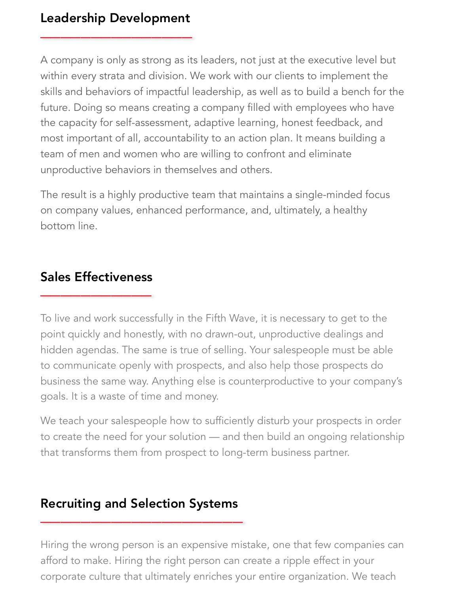# Leadership Development \_\_\_\_\_\_\_\_\_\_\_\_\_\_\_

A company is only as strong as its leaders, not just at the executive level but within every strata and division. We work with our clients to implement the skills and behaviors of impactful leadership, as well as to build a bench for the future. Doing so means creating a company filled with employees who have the capacity for self-assessment, adaptive learning, honest feedback, and most important of all, accountability to an action plan. It means building a team of men and women who are willing to confront and eliminate unproductive behaviors in themselves and others.

The result is a highly productive team that maintains a single-minded focus on company values, enhanced performance, and, ultimately, a healthy bottom line.

## Sales Effectiveness **Dales Encenveness**

To live and work successfully in the Fifth Wave, it is necessary to get to the point quickly and honestly, with no drawn-out, unproductive dealings and hidden agendas. The same is true of selling. Your salespeople must be able to communicate openly with prospects, and also help those prospects do business the same way. Anything else is counterproductive to your company's goals. It is a waste of time and money.

We teach your salespeople how to sufficiently disturb your prospects in order to create the need for your solution — and then build an ongoing relationship that transforms them from prospect to long-term business partner.

## Recruiting and Selection Systems  $\overline{\phantom{a}}$

Hiring the wrong person is an expensive mistake, one that few companies can afford to make. Hiring the right person can create a ripple effect in your corporate culture that ultimately enriches your entire organization. We teach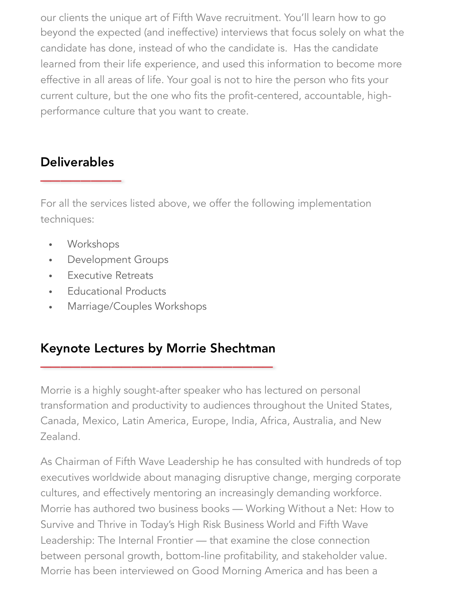our clients the unique art of Fifth Wave recruitment. You'll learn how to go beyond the expected (and ineffective) interviews that focus solely on what the candidate has done, instead of who the candidate is. Has the candidate learned from their life experience, and used this information to become more effective in all areas of life. Your goal is not to hire the person who fits your current culture, but the one who fits the profit-centered, accountable, highperformance culture that you want to create.

# Deliverables  $\overline{\phantom{a}}$

For all the services listed above, we offer the following implementation techniques:

- Workshops
- Development Groups
- Executive Retreats
- Educational Products
- Marriage/Couples Workshops

## Keynote Lectures by Morrie Shechtman \_\_\_\_\_\_\_\_\_\_\_\_\_\_\_\_\_\_\_\_\_\_\_

Morrie is a highly sought-after speaker who has lectured on personal transformation and productivity to audiences throughout the United States, Canada, Mexico, Latin America, Europe, India, Africa, Australia, and New Zealand.

As Chairman of Fifth Wave Leadership he has consulted with hundreds of top executives worldwide about managing disruptive change, merging corporate cultures, and effectively mentoring an increasingly demanding workforce. Morrie has authored two business books — Working Without a Net: How to Survive and Thrive in Today's High Risk Business World and Fifth Wave Leadership: The Internal Frontier — that examine the close connection between personal growth, bottom-line profitability, and stakeholder value. Morrie has been interviewed on Good Morning America and has been a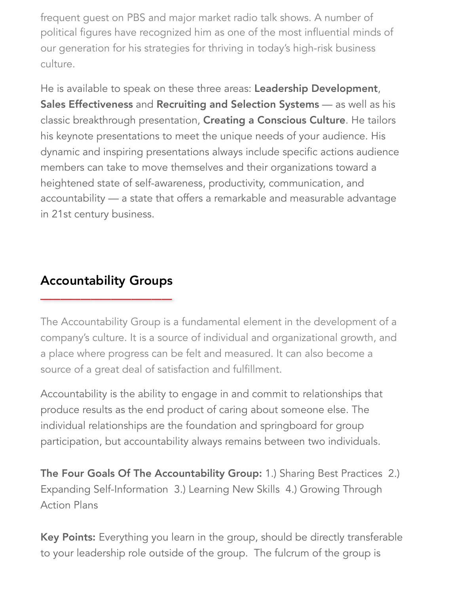frequent guest on PBS and major market radio talk shows. A number of political figures have recognized him as one of the most influential minds of our generation for his strategies for thriving in today's high-risk business culture.

He is available to speak on these three areas: Leadership Development, Sales Effectiveness and Recruiting and Selection Systems - as well as his classic breakthrough presentation, Creating a Conscious Culture. He tailors his keynote presentations to meet the unique needs of your audience. His dynamic and inspiring presentations always include specific actions audience members can take to move themselves and their organizations toward a heightened state of self-awareness, productivity, communication, and accountability — a state that offers a remarkable and measurable advantage in 21st century business.

## Accountability Groups  $\overline{\phantom{a}}$

The Accountability Group is a fundamental element in the development of a company's culture. It is a source of individual and organizational growth, and a place where progress can be felt and measured. It can also become a source of a great deal of satisfaction and fulfillment.

Accountability is the ability to engage in and commit to relationships that produce results as the end product of caring about someone else. The individual relationships are the foundation and springboard for group participation, but accountability always remains between two individuals.

The Four Goals Of The Accountability Group: 1.) Sharing Best Practices 2.) Expanding Self-Information 3.) Learning New Skills 4.) Growing Through Action Plans

Key Points: Everything you learn in the group, should be directly transferable to your leadership role outside of the group. The fulcrum of the group is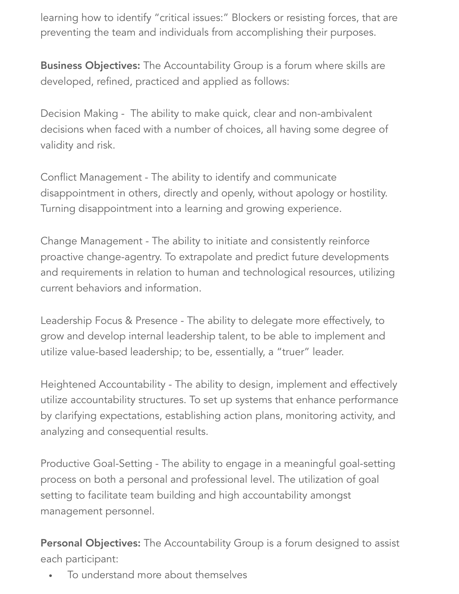learning how to identify "critical issues:" Blockers or resisting forces, that are preventing the team and individuals from accomplishing their purposes.

**Business Objectives:** The Accountability Group is a forum where skills are developed, refined, practiced and applied as follows:

Decision Making - The ability to make quick, clear and non-ambivalent decisions when faced with a number of choices, all having some degree of validity and risk.

Conflict Management - The ability to identify and communicate disappointment in others, directly and openly, without apology or hostility. Turning disappointment into a learning and growing experience.

Change Management - The ability to initiate and consistently reinforce proactive change-agentry. To extrapolate and predict future developments and requirements in relation to human and technological resources, utilizing current behaviors and information.

Leadership Focus & Presence - The ability to delegate more effectively, to grow and develop internal leadership talent, to be able to implement and utilize value-based leadership; to be, essentially, a "truer" leader.

Heightened Accountability - The ability to design, implement and effectively utilize accountability structures. To set up systems that enhance performance by clarifying expectations, establishing action plans, monitoring activity, and analyzing and consequential results.

Productive Goal-Setting - The ability to engage in a meaningful goal-setting process on both a personal and professional level. The utilization of goal setting to facilitate team building and high accountability amongst management personnel.

Personal Objectives: The Accountability Group is a forum designed to assist each participant:

• To understand more about themselves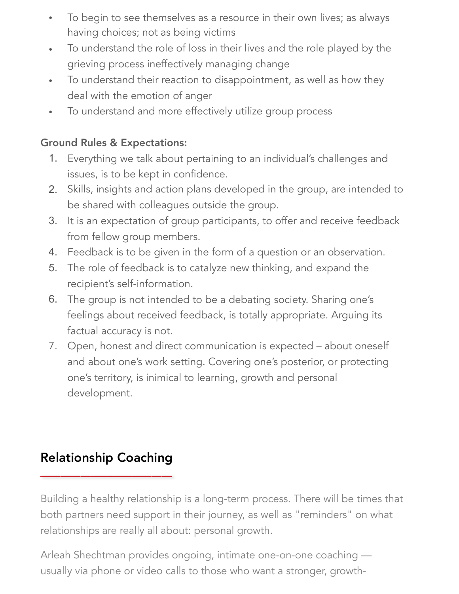- To begin to see themselves as a resource in their own lives; as always having choices; not as being victims
- To understand the role of loss in their lives and the role played by the grieving process ineffectively managing change
- To understand their reaction to disappointment, as well as how they deal with the emotion of anger
- To understand and more effectively utilize group process

#### Ground Rules & Expectations:

- 1. Everything we talk about pertaining to an individual's challenges and issues, is to be kept in confidence.
- 2. Skills, insights and action plans developed in the group, are intended to be shared with colleagues outside the group.
- 3. It is an expectation of group participants, to offer and receive feedback from fellow group members.
- 4. Feedback is to be given in the form of a question or an observation.
- 5. The role of feedback is to catalyze new thinking, and expand the recipient's self-information.
- 6. The group is not intended to be a debating society. Sharing one's feelings about received feedback, is totally appropriate. Arguing its factual accuracy is not.
- 7. Open, honest and direct communication is expected about oneself and about one's work setting. Covering one's posterior, or protecting one's territory, is inimical to learning, growth and personal development.

# Relationship Coaching  $\overline{\phantom{a}}$

Building a healthy relationship is a long-term process. There will be times that both partners need support in their journey, as well as "reminders" on what relationships are really all about: personal growth.

Arleah Shechtman provides ongoing, intimate one-on-one coaching usually via phone or video calls to those who want a stronger, growth-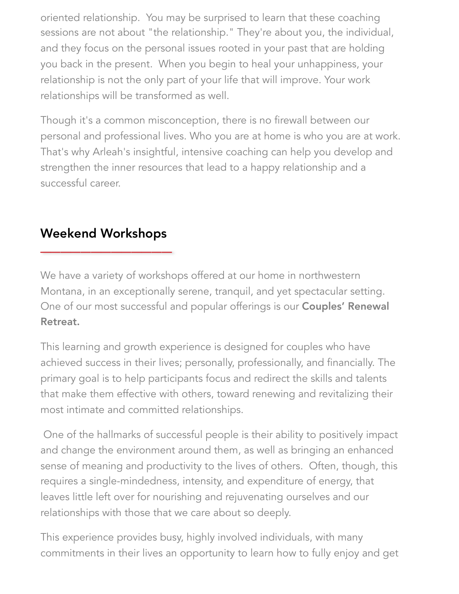oriented relationship. You may be surprised to learn that these coaching sessions are not about "the relationship." They're about you, the individual, and they focus on the personal issues rooted in your past that are holding you back in the present. When you begin to heal your unhappiness, your relationship is not the only part of your life that will improve. Your work relationships will be transformed as well.

Though it's a common misconception, there is no firewall between our personal and professional lives. Who you are at home is who you are at work. That's why Arleah's insightful, intensive coaching can help you develop and strengthen the inner resources that lead to a happy relationship and a successful career.

# Weekend Workshops  $\overline{\phantom{a}}$

We have a variety of workshops offered at our home in northwestern Montana, in an exceptionally serene, tranquil, and yet spectacular setting. One of our most successful and popular offerings is our Couples' Renewal Retreat.

This learning and growth experience is designed for couples who have achieved success in their lives; personally, professionally, and financially. The primary goal is to help participants focus and redirect the skills and talents that make them effective with others, toward renewing and revitalizing their most intimate and committed relationships.

 One of the hallmarks of successful people is their ability to positively impact and change the environment around them, as well as bringing an enhanced sense of meaning and productivity to the lives of others. Often, though, this requires a single-mindedness, intensity, and expenditure of energy, that leaves little left over for nourishing and rejuvenating ourselves and our relationships with those that we care about so deeply.

This experience provides busy, highly involved individuals, with many commitments in their lives an opportunity to learn how to fully enjoy and get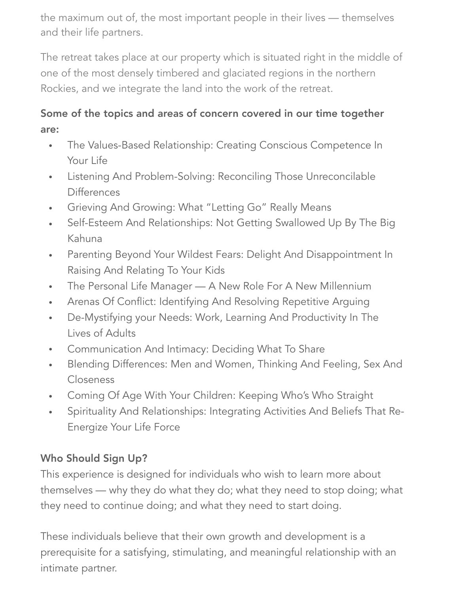the maximum out of, the most important people in their lives — themselves and their life partners.

The retreat takes place at our property which is situated right in the middle of one of the most densely timbered and glaciated regions in the northern Rockies, and we integrate the land into the work of the retreat.

## Some of the topics and areas of concern covered in our time together are:

- The Values-Based Relationship: Creating Conscious Competence In Your Life
- Listening And Problem-Solving: Reconciling Those Unreconcilable **Differences**
- Grieving And Growing: What "Letting Go" Really Means
- Self-Esteem And Relationships: Not Getting Swallowed Up By The Big Kahuna
- Parenting Beyond Your Wildest Fears: Delight And Disappointment In Raising And Relating To Your Kids
- The Personal Life Manager A New Role For A New Millennium
- Arenas Of Conflict: Identifying And Resolving Repetitive Arguing
- De-Mystifying your Needs: Work, Learning And Productivity In The Lives of Adults
- Communication And Intimacy: Deciding What To Share
- Blending Differences: Men and Women, Thinking And Feeling, Sex And Closeness
- Coming Of Age With Your Children: Keeping Who's Who Straight
- Spirituality And Relationships: Integrating Activities And Beliefs That Re-Energize Your Life Force

## Who Should Sign Up?

This experience is designed for individuals who wish to learn more about themselves — why they do what they do; what they need to stop doing; what they need to continue doing; and what they need to start doing.

These individuals believe that their own growth and development is a prerequisite for a satisfying, stimulating, and meaningful relationship with an intimate partner.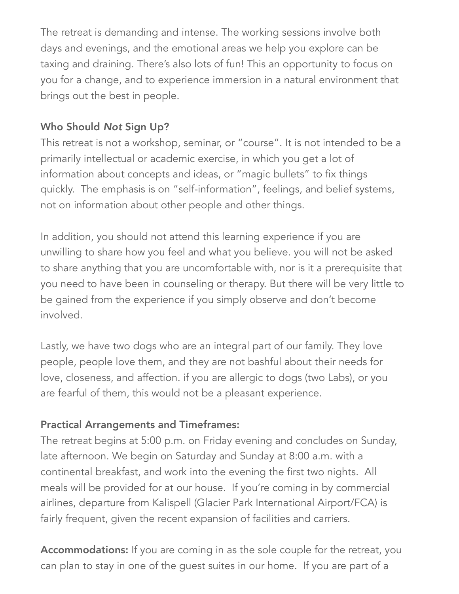The retreat is demanding and intense. The working sessions involve both days and evenings, and the emotional areas we help you explore can be taxing and draining. There's also lots of fun! This an opportunity to focus on you for a change, and to experience immersion in a natural environment that brings out the best in people.

#### Who Should *Not* Sign Up?

This retreat is not a workshop, seminar, or "course". It is not intended to be a primarily intellectual or academic exercise, in which you get a lot of information about concepts and ideas, or "magic bullets" to fix things quickly. The emphasis is on "self-information", feelings, and belief systems, not on information about other people and other things.

In addition, you should not attend this learning experience if you are unwilling to share how you feel and what you believe. you will not be asked to share anything that you are uncomfortable with, nor is it a prerequisite that you need to have been in counseling or therapy. But there will be very little to be gained from the experience if you simply observe and don't become involved.

Lastly, we have two dogs who are an integral part of our family. They love people, people love them, and they are not bashful about their needs for love, closeness, and affection. if you are allergic to dogs (two Labs), or you are fearful of them, this would not be a pleasant experience.

#### Practical Arrangements and Timeframes:

The retreat begins at 5:00 p.m. on Friday evening and concludes on Sunday, late afternoon. We begin on Saturday and Sunday at 8:00 a.m. with a continental breakfast, and work into the evening the first two nights. All meals will be provided for at our house. If you're coming in by commercial airlines, departure from Kalispell (Glacier Park International Airport/FCA) is fairly frequent, given the recent expansion of facilities and carriers.

Accommodations: If you are coming in as the sole couple for the retreat, you can plan to stay in one of the guest suites in our home. If you are part of a